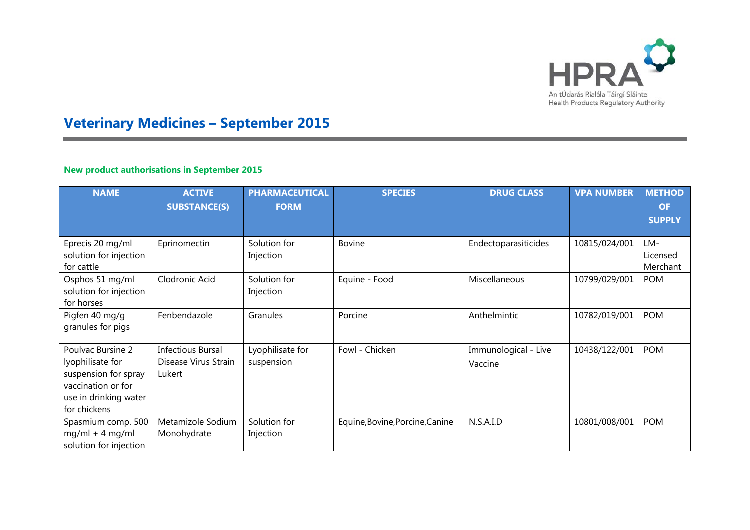

# **Veterinary Medicines – September 2015**

## **New product authorisations in September 2015**

×

| <b>NAME</b>                                                                                                                  | <b>ACTIVE</b><br><b>SUBSTANCE(S)</b>                       | <b>PHARMACEUTICAL</b><br><b>FORM</b> | <b>SPECIES</b>                  | <b>DRUG CLASS</b>               | <b>VPA NUMBER</b> | <b>METHOD</b><br><b>OF</b><br><b>SUPPLY</b> |
|------------------------------------------------------------------------------------------------------------------------------|------------------------------------------------------------|--------------------------------------|---------------------------------|---------------------------------|-------------------|---------------------------------------------|
| Eprecis 20 mg/ml<br>solution for injection<br>for cattle                                                                     | Eprinomectin                                               | Solution for<br>Injection            | <b>Bovine</b>                   | Endectoparasiticides            | 10815/024/001     | LM-<br>Licensed<br>Merchant                 |
| Osphos 51 mg/ml<br>solution for injection<br>for horses                                                                      | Clodronic Acid                                             | Solution for<br>Injection            | Equine - Food                   | Miscellaneous                   | 10799/029/001     | <b>POM</b>                                  |
| Pigfen 40 mg/g<br>granules for pigs                                                                                          | Fenbendazole                                               | Granules                             | Porcine                         | Anthelmintic                    | 10782/019/001     | <b>POM</b>                                  |
| Poulvac Bursine 2<br>lyophilisate for<br>suspension for spray<br>vaccination or for<br>use in drinking water<br>for chickens | <b>Infectious Bursal</b><br>Disease Virus Strain<br>Lukert | Lyophilisate for<br>suspension       | Fowl - Chicken                  | Immunological - Live<br>Vaccine | 10438/122/001     | <b>POM</b>                                  |
| Spasmium comp. 500<br>$mg/ml + 4 mg/ml$<br>solution for injection                                                            | Metamizole Sodium<br>Monohydrate                           | Solution for<br>Injection            | Equine, Bovine, Porcine, Canine | N.S.A.I.D                       | 10801/008/001     | <b>POM</b>                                  |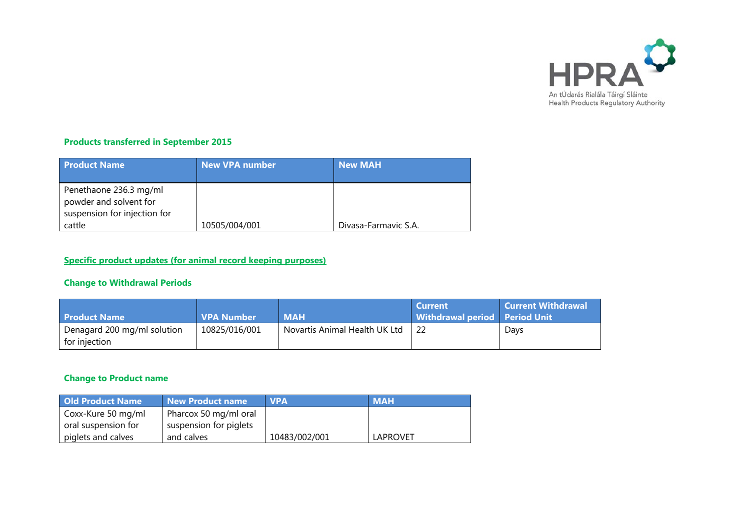

### **Products transferred in September 2015**

| <b>Product Name</b>                                                                        | New VPA number | <b>New MAH</b>       |
|--------------------------------------------------------------------------------------------|----------------|----------------------|
| Penethaone 236.3 mg/ml<br>powder and solvent for<br>suspension for injection for<br>cattle | 10505/004/001  | Divasa-Farmavic S.A. |

## **Specific product updates (for animal record keeping purposes)**

### **Change to Withdrawal Periods**

| <b>MAH</b><br><b>VPA Number</b> |               | Withdrawal period Period Unit |      |
|---------------------------------|---------------|-------------------------------|------|
|                                 |               |                               | Days |
|                                 | 10825/016/001 | Novartis Animal Health UK Ltd |      |

### **Change to Product name**

| <b>Old Product Name</b> | New Product name       | <b>NPA</b>    | <b>MAH</b>      |
|-------------------------|------------------------|---------------|-----------------|
| Coxx-Kure 50 mg/ml      | Pharcox 50 mg/ml oral  |               |                 |
| oral suspension for     | suspension for piglets |               |                 |
| piglets and calves      | and calves             | 10483/002/001 | <b>LAPROVET</b> |